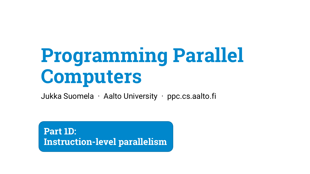# **Programming Parallel Computers**

Jukka Suomela · Aalto University · ppc.cs.aalto.fi

**Part 1D: Instruction-level parallelism**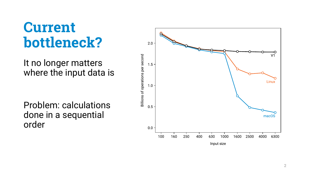### **Current bottleneck?**

It no longer matters where the input data is

Problem: calculations done in a sequential order

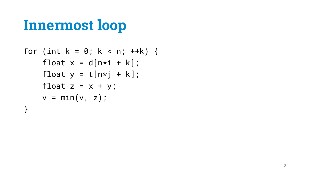```
for (int k = 0; k < n; ++k) {
float x = d[n * i + k];
float y = t[n * j + k];
float z = x + y;
v = min(v, z);}
```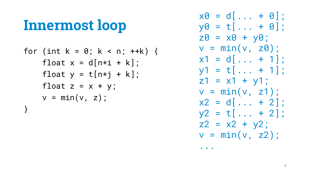$$
for (int k = 0; k < n; ++k) \{ \n float x = d[n*i + k]; \n float y = t[n*j + k]; \n float z = x + y; \n v = min(v, z); \n}
$$

 $x0 = d[... + 0];$  $y0 = t[... + 0];$  $z0 = x0 + y0$ ;  $v = min(v, z0)$ ;  $x1 = d[... + 1];$  $y1 = t[... + 1];$  $z1 = x1 + y1$ ;  $v = min(v, z1);$  $x2 = d$ [... + 2];  $y2 = t[... + 2];$  $z^2 = x^2 + y^2$ ;  $v = min(v, z2);$ ...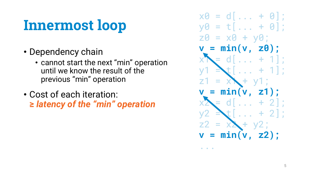- Dependency chain
	- cannot start the next "min" operation until we know the result of the previous "min" operation
- Cost of each iteration: **≥** *latency of the "min" operation*

 $x0 = d$ [... + 0];  $y0 = t[... + 0];$  $20 = x0 + y0$ ; **v = min(v, z0);**  $= d[... + 1];$  $=$ **min(v, z1);**  $+2$ : **v = min(v, z2);**

 $\begin{array}{cccccccccccccc} \bullet & \bullet & \bullet & \bullet & \bullet \end{array}$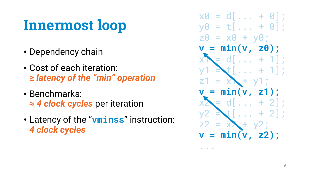- Dependency chain
- Cost of each iteration: **≥** *latency of the "min" operation*
- Benchmarks: *≈ 4 clock cycles* per iteration
- Latency of the "**vminss**" instruction: *4 clock cycles*

 $x0 = d$ [... + 0];  $y0 = t[... + 0];$  $20 = x0 + y0$ ; **v = min(v, z0);**  $= d[... + 1];$  $\left[\ldots + 1\right]$ ;  $z<sub>1</sub>$  $= x + v1$ : **v = min(v, z1);**  $d[\ldots + 2]$ ;  $\mathbf{t}$ [... + 2]; **v = min(v, z2);**

 $\bullet$   $\bullet$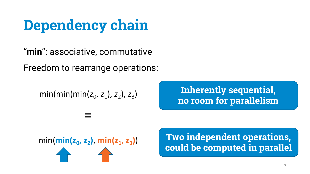# **Dependency chain**

"**min**": associative, commutative Freedom to rearrange operations:

min(min(min( $z_0$ ,  $z_1$ ),  $z_2$ ),  $z_3$ )

=

**Inherently sequential, no room for parallelism**



min( $\min(z_0, z_2)$ ,  $\min(z_1, z_3)$ ) **Two independent operations, could be computed in parallel**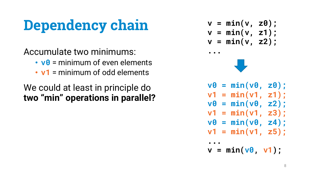# **Dependency chain**

Accumulate two minimums:

- **v0** = minimum of even elements
- **v1** = minimum of odd elements

#### We could at least in principle do **two "min" operations in parallel?**

$$
v = min(v, z0);
$$
  
\n
$$
v = min(v, z1);
$$
  
\n
$$
v = min(v, z2);
$$



**...**

- **v0 = min(v0, z0); v1 = min(v1, z1); v0 = min(v0, z2); v1 = min(v1, z3);**
- **v0 = min(v0, z4);**
- **v1 = min(v1, z5);**

**... v = min(v0, v1);**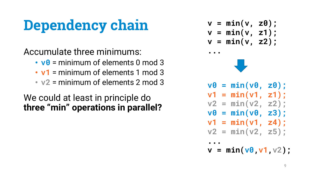# **Dependency chain**

Accumulate three minimums:

- **v0** = minimum of elements 0 mod 3
- **v1** = minimum of elements 1 mod 3
- **v2** = minimum of elements 2 mod 3

#### We could at least in principle do **three "min" operations in parallel?**

$$
v = min(v, z0);
$$
  
\n
$$
v = min(v, z1);
$$
  
\n
$$
v = min(v, z2);
$$



**...**

- **v0 = min(v0, z0); v1 = min(v1, z1);**
- **v2 = min(v2, z2);**
- **v0 = min(v0, z3);**
- **v1 = min(v1, z4);**
- **v2 = min(v2, z5);**
- **... v = min(v0,v1,v2);**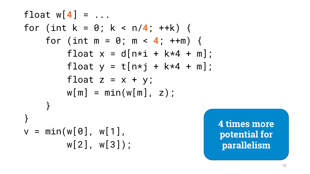float  $w[4] = ...$ for (int  $k = 0$ ;  $k < n/4$ ;  $++k$ ) { for (int  $m = 0$ ;  $m < 4$ ;  $++m$ ) { float  $x = d[n * i + k * 4 + m];$ float  $y = t[n * j + k * 4 + m];$ float  $z = x + y$ ;  $w[m] = min(w[m], z)$ ; } }  $v = min(w[0], w[1],$ w[2], w[3]);

**4 times more potential for parallelism**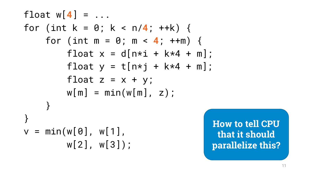float  $w[4] = ...$ for (int k = 0; k < n/**4**; ++k) { for (int  $m = 0$ ;  $m < 4$ ;  $++m$ ) { float  $x = d[n * i + k * 4 + m]$ ; float  $y = t[n * j + k * 4 + m];$ float  $z = x + y$ ;  $w[m] = min(w[m], z)$ ; } }  $v = min(w[0], w[1],$ w[2], w[3]);

**How to tell CPU that it should parallelize this?**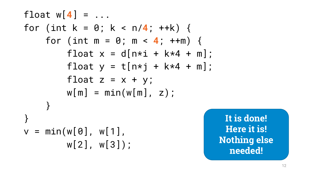float  $w[4] = ...$ for (int  $k = 0$ ;  $k < n/4$ ;  $++k$ ) { for (int  $m = 0$ ;  $m < 4$ ;  $++m$ ) { float  $x = d[n * i + k * 4 + m];$ float  $y = t[n * j + k * 4 + m];$ float  $z = x + y$ ;  $w[m] = min(w[m], z)$ ; } }  $v = min(w[0], w[1],$ w[2], w[3]);

**It is done! Here it is! Nothing else needed!**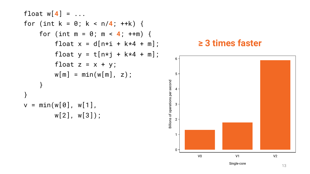```
\nfloat w[4] = ...\nfor (int k = 0; k < n/4; ++k) {\n    for (int m = 0; m < 4; ++m) {\n        float x = d[n*
$$
i
$$
 + k*4 + m];\n        float y = t[n* $j$  + k*4 + m];\n        float z = x + y;\n        w[m] = min(w[m], z);\n    }\n}\n\nv = min(w[0], w[1], w[3]);\n
```



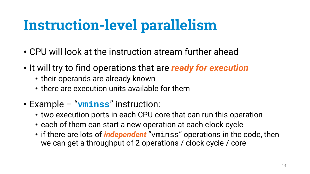- CPU will look at the instruction stream further ahead
- It will try to find operations that are *ready for execution*
	- their operands are already known
	- there are execution units available for them
- Example "**vminss**" instruction:
	- two execution ports in each CPU core that can run this operation
	- each of them can start a new operation at each clock cycle
	- if there are lots of *independent* "vminss" operations in the code, then we can get a throughput of 2 operations / clock cycle / core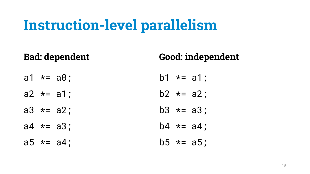#### **Bad: dependent**

#### **Good: independent**

 $b5 * = a5$ ;

- a1  $*= a0;$  $a2 * = a1$ ; a3  $*= a2;$  $a4 \neq a3$ ; b1  $* = a1$ ;  $b2 \neq a2$ ;  $b3 * = a3$ ;  $b4 \times = a4$ ;
- a5  $*= a4;$

15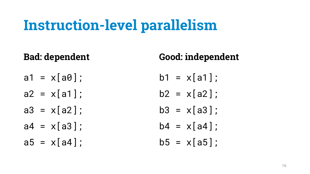### **Bad: dependent**

- $a1 = x[aa];$
- $a2 = x[a1]$ ;
- $a3 = x[a2]$ ;
- $a4 = x[a3]:$
- $a5 = x[a4]$ :

#### **Good: independent**

- $b1 = x[a1]$ :
- $b2 = x[a2]$
- $b3 = x[a3]$
- $b4 = x[ad]:$
- $b5 = x[a5]$ :